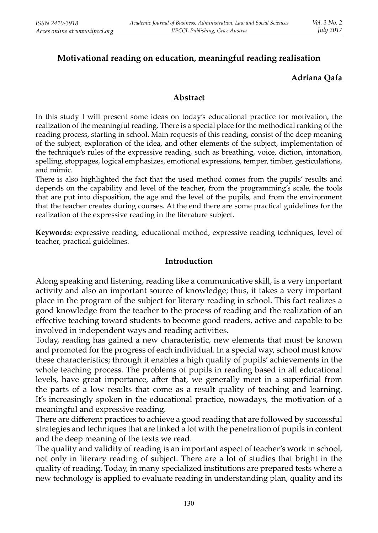# **Motivational reading on education, meaningful reading realisation**

## **Adriana Qafa**

#### **Abstract**

In this study I will present some ideas on today's educational practice for motivation, the realization of the meaningful reading. There is a special place for the methodical ranking of the reading process, starting in school. Main requests of this reading, consist of the deep meaning of the subject, exploration of the idea, and other elements of the subject, implementation of the technique's rules of the expressive reading, such as breathing, voice, diction, intonation, spelling, stoppages, logical emphasizes, emotional expressions, temper, timber, gesticulations, and mimic.

There is also highlighted the fact that the used method comes from the pupils' results and depends on the capability and level of the teacher, from the programming's scale, the tools that are put into disposition, the age and the level of the pupils, and from the environment that the teacher creates during courses. At the end there are some practical guidelines for the realization of the expressive reading in the literature subject.

**Keywords:** expressive reading, educational method, expressive reading techniques, level of teacher, practical guidelines.

### **Introduction**

Along speaking and listening, reading like a communicative skill, is a very important activity and also an important source of knowledge; thus, it takes a very important place in the program of the subject for literary reading in school. This fact realizes a good knowledge from the teacher to the process of reading and the realization of an effective teaching toward students to become good readers, active and capable to be involved in independent ways and reading activities.

Today, reading has gained a new characteristic, new elements that must be known and promoted for the progress of each individual. In a special way, school must know these characteristics; through it enables a high quality of pupils' achievements in the whole teaching process. The problems of pupils in reading based in all educational levels, have great importance, after that, we generally meet in a superficial from the parts of a low results that come as a result quality of teaching and learning. It's increasingly spoken in the educational practice, nowadays, the motivation of a meaningful and expressive reading.

There are different practices to achieve a good reading that are followed by successful strategies and techniques that are linked a lot with the penetration of pupils in content and the deep meaning of the texts we read.

The quality and validity of reading is an important aspect of teacher's work in school, not only in literary reading of subject. There are a lot of studies that bright in the quality of reading. Today, in many specialized institutions are prepared tests where a new technology is applied to evaluate reading in understanding plan, quality and its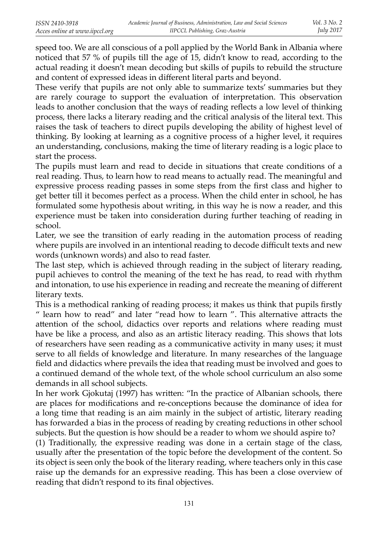speed too. We are all conscious of a poll applied by the World Bank in Albania where noticed that 57 % of pupils till the age of 15, didn't know to read, according to the actual reading it doesn't mean decoding but skills of pupils to rebuild the structure and content of expressed ideas in different literal parts and beyond.

These verify that pupils are not only able to summarize texts' summaries but they are rarely courage to support the evaluation of interpretation. This observation leads to another conclusion that the ways of reading reflects a low level of thinking process, there lacks a literary reading and the critical analysis of the literal text. This raises the task of teachers to direct pupils developing the ability of highest level of thinking. By looking at learning as a cognitive process of a higher level, it requires an understanding, conclusions, making the time of literary reading is a logic place to start the process.

The pupils must learn and read to decide in situations that create conditions of a real reading. Thus, to learn how to read means to actually read. The meaningful and expressive process reading passes in some steps from the first class and higher to get better till it becomes perfect as a process. When the child enter in school, he has formulated some hypothesis about writing, in this way he is now a reader, and this experience must be taken into consideration during further teaching of reading in school.

Later, we see the transition of early reading in the automation process of reading where pupils are involved in an intentional reading to decode difficult texts and new words (unknown words) and also to read faster.

The last step, which is achieved through reading in the subject of literary reading, pupil achieves to control the meaning of the text he has read, to read with rhythm and intonation, to use his experience in reading and recreate the meaning of different literary texts.

This is a methodical ranking of reading process; it makes us think that pupils firstly " learn how to read" and later "read how to learn ". This alternative attracts the attention of the school, didactics over reports and relations where reading must have be like a process, and also as an artistic literacy reading. This shows that lots of researchers have seen reading as a communicative activity in many uses; it must serve to all fields of knowledge and literature. In many researches of the language field and didactics where prevails the idea that reading must be involved and goes to a continued demand of the whole text, of the whole school curriculum an also some demands in all school subjects.

In her work Gjokutaj (1997) has written: "In the practice of Albanian schools, there are places for modifications and re-conceptions because the dominance of idea for a long time that reading is an aim mainly in the subject of artistic, literary reading has forwarded a bias in the process of reading by creating reductions in other school subjects. But the question is how should be a reader to whom we should aspire to?

(1) Traditionally, the expressive reading was done in a certain stage of the class, usually after the presentation of the topic before the development of the content. So its object is seen only the book of the literary reading, where teachers only in this case raise up the demands for an expressive reading. This has been a close overview of reading that didn't respond to its final objectives.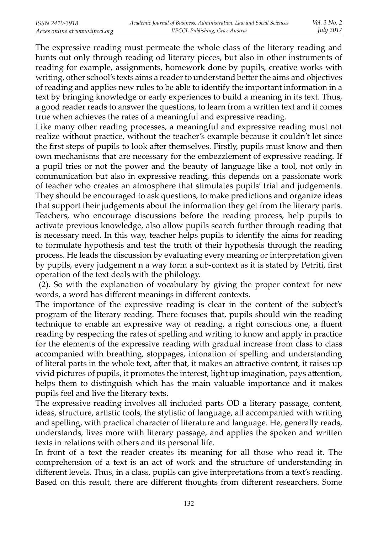The expressive reading must permeate the whole class of the literary reading and hunts out only through reading od literary pieces, but also in other instruments of reading for example, assignments, homework done by pupils, creative works with writing, other school's texts aims a reader to understand better the aims and objectives of reading and applies new rules to be able to identify the important information in a text by bringing knowledge or early experiences to build a meaning in its text. Thus, a good reader reads to answer the questions, to learn from a written text and it comes true when achieves the rates of a meaningful and expressive reading.

Like many other reading processes, a meaningful and expressive reading must not realize without practice, without the teacher's example because it couldn't let since the first steps of pupils to look after themselves. Firstly, pupils must know and then own mechanisms that are necessary for the embezzlement of expressive reading. If a pupil tries or not the power and the beauty of language like a tool, not only in communication but also in expressive reading, this depends on a passionate work of teacher who creates an atmosphere that stimulates pupils' trial and judgements. They should be encouraged to ask questions, to make predictions and organize ideas that support their judgements about the information they get from the literary parts. Teachers, who encourage discussions before the reading process, help pupils to activate previous knowledge, also allow pupils search further through reading that is necessary need. In this way, teacher helps pupils to identify the aims for reading to formulate hypothesis and test the truth of their hypothesis through the reading process. He leads the discussion by evaluating every meaning or interpretation given by pupils, every judgement n a way form a sub-context as it is stated by Petriti, first operation of the text deals with the philology.

 (2). So with the explanation of vocabulary by giving the proper context for new words, a word has different meanings in different contexts.

The importance of the expressive reading is clear in the content of the subject's program of the literary reading. There focuses that, pupils should win the reading technique to enable an expressive way of reading, a right conscious one, a fluent reading by respecting the rates of spelling and writing to know and apply in practice for the elements of the expressive reading with gradual increase from class to class accompanied with breathing, stoppages, intonation of spelling and understanding of literal parts in the whole text, after that, it makes an attractive content, it raises up vivid pictures of pupils, it promotes the interest, light up imagination, pays attention, helps them to distinguish which has the main valuable importance and it makes pupils feel and live the literary texts.

The expressive reading involves all included parts OD a literary passage, content, ideas, structure, artistic tools, the stylistic of language, all accompanied with writing and spelling, with practical character of literature and language. He, generally reads, understands, lives more with literary passage, and applies the spoken and written texts in relations with others and its personal life.

In front of a text the reader creates its meaning for all those who read it. The comprehension of a text is an act of work and the structure of understanding in different levels. Thus, in a class, pupils can give interpretations from a text's reading. Based on this result, there are different thoughts from different researchers. Some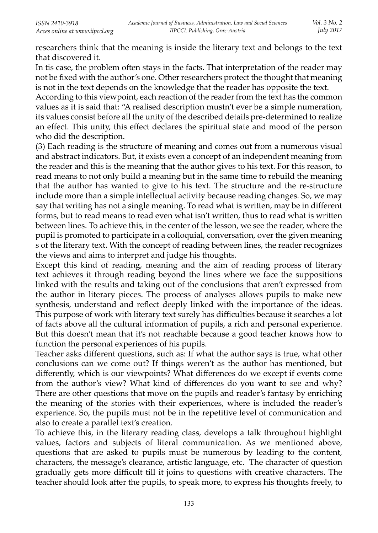researchers think that the meaning is inside the literary text and belongs to the text that discovered it.

In tis case, the problem often stays in the facts. That interpretation of the reader may not be fixed with the author's one. Other researchers protect the thought that meaning is not in the text depends on the knowledge that the reader has opposite the text.

According to this viewpoint, each reaction of the reader from the text has the common values as it is said that: "A realised description mustn't ever be a simple numeration, its values consist before all the unity of the described details pre-determined to realize an effect. This unity, this effect declares the spiritual state and mood of the person who did the description.

(3) Each reading is the structure of meaning and comes out from a numerous visual and abstract indicators. But, it exists even a concept of an independent meaning from the reader and this is the meaning that the author gives to his text. For this reason, to read means to not only build a meaning but in the same time to rebuild the meaning that the author has wanted to give to his text. The structure and the re-structure include more than a simple intellectual activity because reading changes. So, we may say that writing has not a single meaning. To read what is written, may be in different forms, but to read means to read even what isn't written, thus to read what is written between lines. To achieve this, in the center of the lesson, we see the reader, where the pupil is promoted to participate in a colloquial, conversation, over the given meaning s of the literary text. With the concept of reading between lines, the reader recognizes the views and aims to interpret and judge his thoughts.

Except this kind of reading, meaning and the aim of reading process of literary text achieves it through reading beyond the lines where we face the suppositions linked with the results and taking out of the conclusions that aren't expressed from the author in literary pieces. The process of analyses allows pupils to make new synthesis, understand and reflect deeply linked with the importance of the ideas. This purpose of work with literary text surely has difficulties because it searches a lot of facts above all the cultural information of pupils, a rich and personal experience. But this doesn't mean that it's not reachable because a good teacher knows how to function the personal experiences of his pupils.

Teacher asks different questions, such as: If what the author says is true, what other conclusions can we come out? If things weren't as the author has mentioned, but differently, which is our viewpoints? What differences do we except if events come from the author's view? What kind of differences do you want to see and why? There are other questions that move on the pupils and reader's fantasy by enriching the meaning of the stories with their experiences, where is included the reader's experience. So, the pupils must not be in the repetitive level of communication and also to create a parallel text's creation.

To achieve this, in the literary reading class, develops a talk throughout highlight values, factors and subjects of literal communication. As we mentioned above, questions that are asked to pupils must be numerous by leading to the content, characters, the message's clearance, artistic language, etc. The character of question gradually gets more difficult till it joins to questions with creative characters. The teacher should look after the pupils, to speak more, to express his thoughts freely, to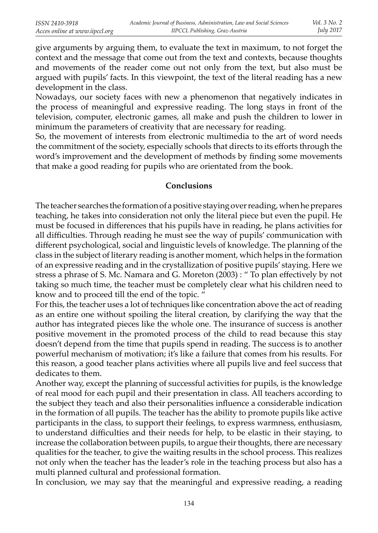give arguments by arguing them, to evaluate the text in maximum, to not forget the context and the message that come out from the text and contexts, because thoughts and movements of the reader come out not only from the text, but also must be argued with pupils' facts. In this viewpoint, the text of the literal reading has a new development in the class.

Nowadays, our society faces with new a phenomenon that negatively indicates in the process of meaningful and expressive reading. The long stays in front of the television, computer, electronic games, all make and push the children to lower in minimum the parameters of creativity that are necessary for reading.

So, the movement of interests from electronic multimedia to the art of word needs the commitment of the society, especially schools that directs to its efforts through the word's improvement and the development of methods by finding some movements that make a good reading for pupils who are orientated from the book.

#### **Conclusions**

The teacher searches the formation of a positive staying over reading, when he prepares teaching, he takes into consideration not only the literal piece but even the pupil. He must be focused in differences that his pupils have in reading, he plans activities for all difficulties. Through reading he must see the way of pupils' communication with different psychological, social and linguistic levels of knowledge. The planning of the class in the subject of literary reading is another moment, which helps in the formation of an expressive reading and in the crystallization of positive pupils' staying. Here we stress a phrase of S. Mc. Namara and G. Moreton (2003) : " To plan effectively by not taking so much time, the teacher must be completely clear what his children need to know and to proceed till the end of the topic. "

For this, the teacher uses a lot of techniques like concentration above the act of reading as an entire one without spoiling the literal creation, by clarifying the way that the author has integrated pieces like the whole one. The insurance of success is another positive movement in the promoted process of the child to read because this stay doesn't depend from the time that pupils spend in reading. The success is to another powerful mechanism of motivation; it's like a failure that comes from his results. For this reason, a good teacher plans activities where all pupils live and feel success that dedicates to them.

Another way, except the planning of successful activities for pupils, is the knowledge of real mood for each pupil and their presentation in class. All teachers according to the subject they teach and also their personalities influence a considerable indication in the formation of all pupils. The teacher has the ability to promote pupils like active participants in the class, to support their feelings, to express warmness, enthusiasm, to understand difficulties and their needs for help, to be elastic in their staying, to increase the collaboration between pupils, to argue their thoughts, there are necessary qualities for the teacher, to give the waiting results in the school process. This realizes not only when the teacher has the leader's role in the teaching process but also has a multi planned cultural and professional formation.

In conclusion, we may say that the meaningful and expressive reading, a reading